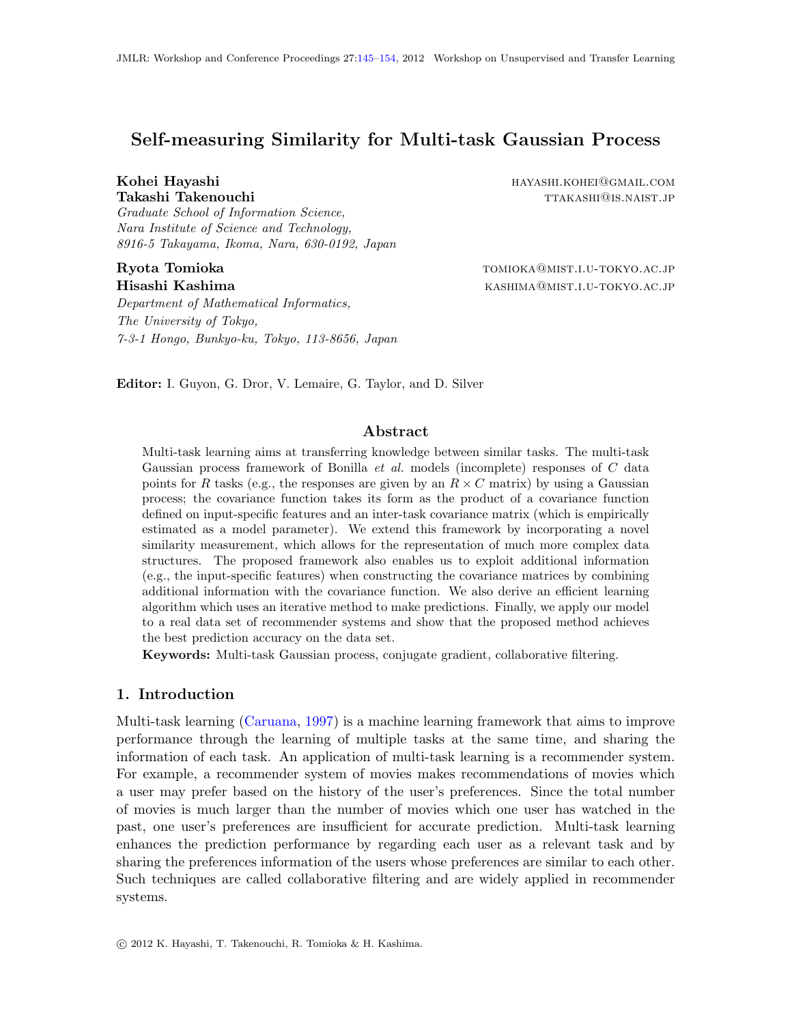# Self-measuring Similarity for Multi-task Gaussian Process

Graduate School of Information Science, Nara Institute of Science and Technology, 8916-5 Takayama, Ikoma, Nara, 630-0192, Japan

Department of Mathematical Informatics, The University of Tokyo, 7-3-1 Hongo, Bunkyo-ku, Tokyo, 113-8656, Japan

Kohei Havashi hayashi hayashi hayashi.koher hayashi hayashi hayashi hayashi hayashi hayashi hayashi hayashi ha Takashi Takenouchi takashi takashi takashi takashi takashi barana kanada masharida masharida masharida mashari

Ryota Tomioka tomioka tomioka tomioka tomioka tomioka tomioka tomioka tomioka tomioka tomioka tomioka tomioka Hisashi Kashima kashima kashima kashima kashima kashima $\alpha_{\text{MIST.I.U}}$ -tokyo.ac.jp

Editor: I. Guyon, G. Dror, V. Lemaire, G. Taylor, and D. Silver

## Abstract

Multi-task learning aims at transferring knowledge between similar tasks. The multi-task Gaussian process framework of Bonilla *et al.* models (incomplete) responses of C data points for R tasks (e.g., the responses are given by an  $R \times C$  matrix) by using a Gaussian process; the covariance function takes its form as the product of a covariance function defined on input-specific features and an inter-task covariance matrix (which is empirically estimated as a model parameter). We extend this framework by incorporating a novel similarity measurement, which allows for the representation of much more complex data structures. The proposed framework also enables us to exploit additional information (e.g., the input-specific features) when constructing the covariance matrices by combining additional information with the covariance function. We also derive an efficient learning algorithm which uses an iterative method to make predictions. Finally, we apply our model to a real data set of recommender systems and show that the proposed method achieves the best prediction accuracy on the data set.

Keywords: Multi-task Gaussian process, conjugate gradient, collaborative filtering.

#### 1. Introduction

Multi-task learning [\(Caruana,](#page-8-0) [1997\)](#page-8-0) is a machine learning framework that aims to improve performance through the learning of multiple tasks at the same time, and sharing the information of each task. An application of multi-task learning is a recommender system. For example, a recommender system of movies makes recommendations of movies which a user may prefer based on the history of the user's preferences. Since the total number of movies is much larger than the number of movies which one user has watched in the past, one user's preferences are insufficient for accurate prediction. Multi-task learning enhances the prediction performance by regarding each user as a relevant task and by sharing the preferences information of the users whose preferences are similar to each other. Such techniques are called collaborative filtering and are widely applied in recommender systems.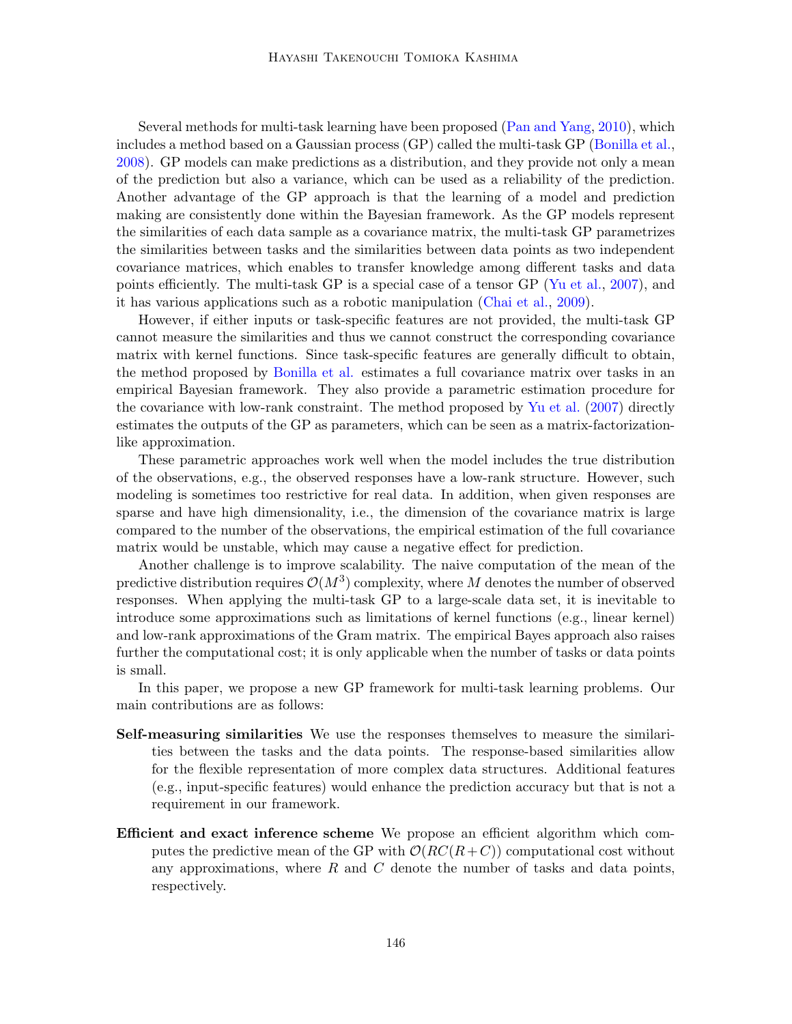Several methods for multi-task learning have been proposed [\(Pan and Yang,](#page-8-1) [2010\)](#page-8-1), which includes a method based on a Gaussian process (GP) called the multi-task GP [\(Bonilla et al.,](#page-8-2) [2008\)](#page-8-2). GP models can make predictions as a distribution, and they provide not only a mean of the prediction but also a variance, which can be used as a reliability of the prediction. Another advantage of the GP approach is that the learning of a model and prediction making are consistently done within the Bayesian framework. As the GP models represent the similarities of each data sample as a covariance matrix, the multi-task GP parametrizes the similarities between tasks and the similarities between data points as two independent covariance matrices, which enables to transfer knowledge among different tasks and data points efficiently. The multi-task GP is a special case of a tensor GP [\(Yu et al.,](#page-9-1) [2007\)](#page-9-1), and it has various applications such as a robotic manipulation [\(Chai et al.,](#page-8-3) [2009\)](#page-8-3).

However, if either inputs or task-specific features are not provided, the multi-task GP cannot measure the similarities and thus we cannot construct the corresponding covariance matrix with kernel functions. Since task-specific features are generally difficult to obtain, the method proposed by [Bonilla et al.](#page-8-2) estimates a full covariance matrix over tasks in an empirical Bayesian framework. They also provide a parametric estimation procedure for the covariance with low-rank constraint. The method proposed by [Yu et al.](#page-9-1) [\(2007\)](#page-9-1) directly estimates the outputs of the GP as parameters, which can be seen as a matrix-factorizationlike approximation.

These parametric approaches work well when the model includes the true distribution of the observations, e.g., the observed responses have a low-rank structure. However, such modeling is sometimes too restrictive for real data. In addition, when given responses are sparse and have high dimensionality, i.e., the dimension of the covariance matrix is large compared to the number of the observations, the empirical estimation of the full covariance matrix would be unstable, which may cause a negative effect for prediction.

Another challenge is to improve scalability. The naive computation of the mean of the predictive distribution requires  $\mathcal{O}(M^3)$  complexity, where M denotes the number of observed responses. When applying the multi-task GP to a large-scale data set, it is inevitable to introduce some approximations such as limitations of kernel functions (e.g., linear kernel) and low-rank approximations of the Gram matrix. The empirical Bayes approach also raises further the computational cost; it is only applicable when the number of tasks or data points is small.

In this paper, we propose a new GP framework for multi-task learning problems. Our main contributions are as follows:

- Self-measuring similarities We use the responses themselves to measure the similarities between the tasks and the data points. The response-based similarities allow for the flexible representation of more complex data structures. Additional features (e.g., input-specific features) would enhance the prediction accuracy but that is not a requirement in our framework.
- Efficient and exact inference scheme We propose an efficient algorithm which computes the predictive mean of the GP with  $\mathcal{O}(RC(R+C))$  computational cost without any approximations, where  $R$  and  $C$  denote the number of tasks and data points, respectively.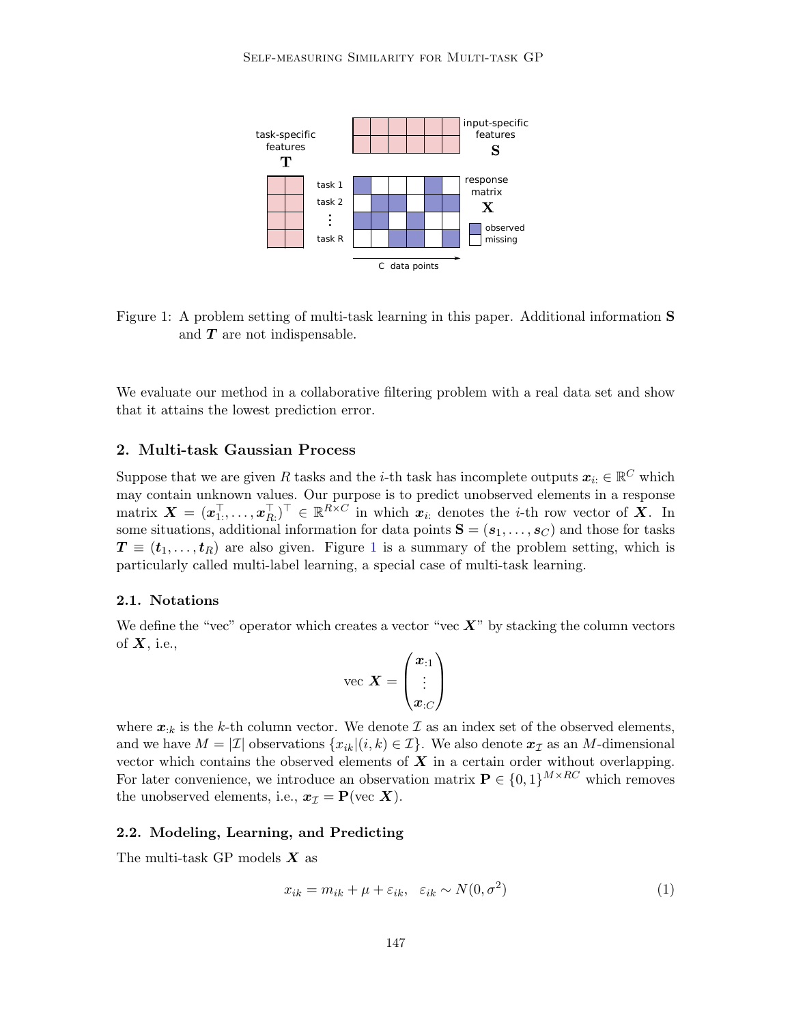

<span id="page-2-0"></span>Figure 1: A problem setting of multi-task learning in this paper. Additional information S and  $T$  are not indispensable.

We evaluate our method in a collaborative filtering problem with a real data set and show that it attains the lowest prediction error.

### 2. Multi-task Gaussian Process

Suppose that we are given R tasks and the *i*-th task has incomplete outputs  $x_{i:} \in \mathbb{R}^{C}$  which may contain unknown values. Our purpose is to predict unobserved elements in a response matrix  $\boldsymbol{X} = (\boldsymbol{x}_{1:}^{\top}, \ldots, \boldsymbol{x}_{R:}^{\top})^{\top} \in \mathbb{R}^{R \times C}$  in which  $\boldsymbol{x}_{i:}$  denotes the *i*-th row vector of  $\boldsymbol{X}$ . In some situations, additional information for data points  $S = (s_1, \ldots, s_C)$  and those for tasks  $T \equiv (t_1, \ldots, t_R)$  $T \equiv (t_1, \ldots, t_R)$  $T \equiv (t_1, \ldots, t_R)$  are also given. Figure 1 is a summary of the problem setting, which is particularly called multi-label learning, a special case of multi-task learning.

#### 2.1. Notations

We define the "vec" operator which creates a vector "vec  $X$ " by stacking the column vectors of  $X$ , i.e.,

$$
\text{vec } \bm{X} = \begin{pmatrix} \bm{x}_{:1} \\ \vdots \\ \bm{x}_{:C} \end{pmatrix}
$$

where  $x_{:k}$  is the k-th column vector. We denote  $\mathcal I$  as an index set of the observed elements, and we have  $M = |\mathcal{I}|$  observations  $\{x_{ik}|(i,k) \in \mathcal{I}\}\)$ . We also denote  $\mathbf{x}_{\mathcal{I}}$  as an M-dimensional vector which contains the observed elements of  $\boldsymbol{X}$  in a certain order without overlapping. For later convenience, we introduce an observation matrix  $\mathbf{P} \in \{0,1\}^{M \times RC}$  which removes the unobserved elements, i.e.,  $x_{\mathcal{I}} = \mathbf{P}(\text{vec } X)$ .

## 2.2. Modeling, Learning, and Predicting

The multi-task GP models  $X$  as

$$
x_{ik} = m_{ik} + \mu + \varepsilon_{ik}, \quad \varepsilon_{ik} \sim N(0, \sigma^2)
$$
 (1)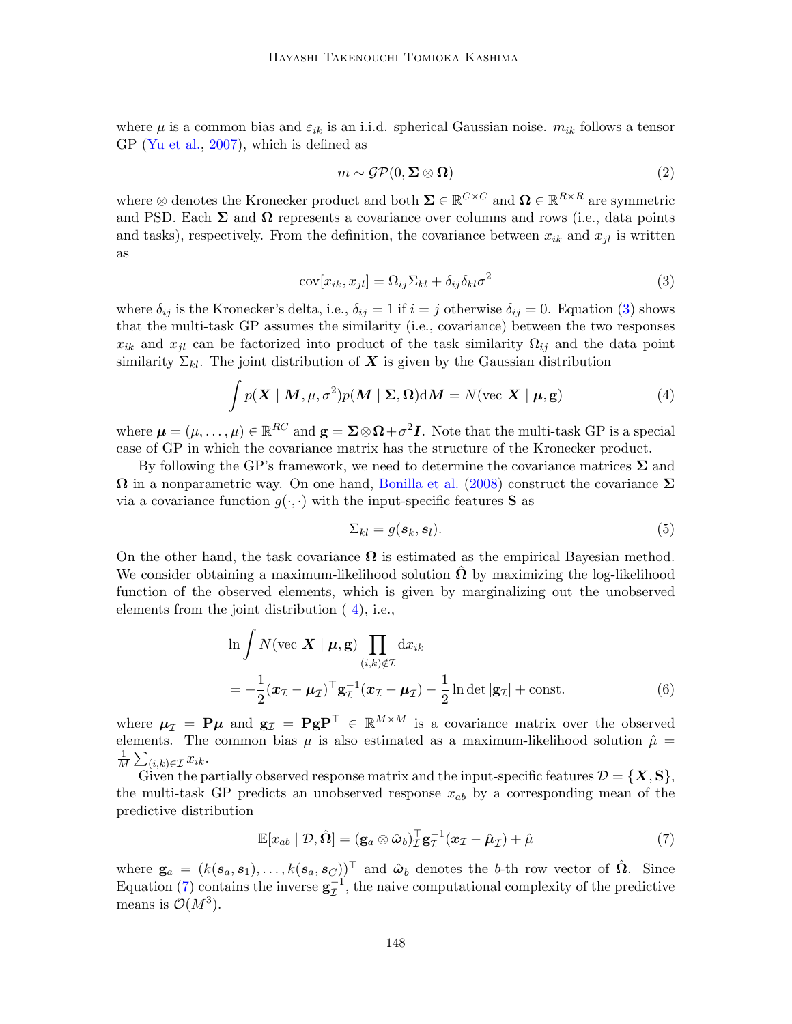where  $\mu$  is a common bias and  $\varepsilon_{ik}$  is an i.i.d. spherical Gaussian noise.  $m_{ik}$  follows a tensor GP [\(Yu et al.,](#page-9-1) [2007\)](#page-9-1), which is defined as

<span id="page-3-0"></span>
$$
m \sim \mathcal{GP}(0, \Sigma \otimes \Omega) \tag{2}
$$

where  $\otimes$  denotes the Kronecker product and both  $\Sigma \in \mathbb{R}^{C \times C}$  and  $\Omega \in \mathbb{R}^{R \times R}$  are symmetric and PSD. Each  $\Sigma$  and  $\Omega$  represents a covariance over columns and rows (i.e., data points and tasks), respectively. From the definition, the covariance between  $x_{ik}$  and  $x_{il}$  is written as

$$
cov[x_{ik}, x_{jl}] = \Omega_{ij} \Sigma_{kl} + \delta_{ij} \delta_{kl} \sigma^2
$$
\n(3)

where  $\delta_{ij}$  is the Kronecker's delta, i.e.,  $\delta_{ij} = 1$  if  $i = j$  otherwise  $\delta_{ij} = 0$ . Equation [\(3\)](#page-3-0) shows that the multi-task GP assumes the similarity (i.e., covariance) between the two responses  $x_{ik}$  and  $x_{jl}$  can be factorized into product of the task similarity  $\Omega_{ij}$  and the data point similarity  $\Sigma_{kl}$ . The joint distribution of X is given by the Gaussian distribution

$$
\int p(\mathbf{X} \mid \mathbf{M}, \mu, \sigma^2) p(\mathbf{M} \mid \Sigma, \Omega) d\mathbf{M} = N(\text{vec } \mathbf{X} \mid \mu, \mathbf{g})
$$
\n(4)

where  $\mu = (\mu, \ldots, \mu) \in \mathbb{R}^{RC}$  and  $\mathbf{g} = \mathbf{\Sigma} \otimes \mathbf{\Omega} + \sigma^2 \mathbf{I}$ . Note that the multi-task GP is a special case of GP in which the covariance matrix has the structure of the Kronecker product.

By following the GP's framework, we need to determine the covariance matrices  $\Sigma$  and  $\Omega$  in a nonparametric way. On one hand, [Bonilla et al.](#page-8-2) [\(2008\)](#page-8-2) construct the covariance  $\Sigma$ via a covariance function  $g(\cdot, \cdot)$  with the input-specific features **S** as

<span id="page-3-1"></span>
$$
\Sigma_{kl} = g(\mathbf{s}_k, \mathbf{s}_l). \tag{5}
$$

On the other hand, the task covariance  $\Omega$  is estimated as the empirical Bayesian method. We consider obtaining a maximum-likelihood solution  $\hat{\Omega}$  by maximizing the log-likelihood function of the observed elements, which is given by marginalizing out the unobserved elements from the joint distribution ( [4\)](#page-3-1), i.e.,

$$
\ln \int N(\text{vec } \mathbf{X} \mid \boldsymbol{\mu}, \mathbf{g}) \prod_{(i,k) \notin \mathcal{I}} dx_{ik}
$$
  
= 
$$
-\frac{1}{2} (\boldsymbol{x}_{\mathcal{I}} - \boldsymbol{\mu}_{\mathcal{I}})^{\top} \mathbf{g}_{\mathcal{I}}^{-1} (\boldsymbol{x}_{\mathcal{I}} - \boldsymbol{\mu}_{\mathcal{I}}) - \frac{1}{2} \ln \det |\mathbf{g}_{\mathcal{I}}| + \text{const.}
$$
 (6)

where  $\mu_{\mathcal{I}} = P\mu$  and  $g_{\mathcal{I}} = P g P^{\top} \in \mathbb{R}^{M \times M}$  is a covariance matrix over the observed elements. The common bias  $\mu$  is also estimated as a maximum-likelihood solution  $\hat{\mu} =$ 1  $\frac{1}{M}\sum_{(i,k)\in\mathcal{I}}x_{ik}.$ 

Given the partially observed response matrix and the input-specific features  $\mathcal{D} = \{X, S\},\$ the multi-task GP predicts an unobserved response  $x_{ab}$  by a corresponding mean of the predictive distribution

<span id="page-3-2"></span>
$$
\mathbb{E}[x_{ab} | \mathcal{D}, \hat{\Omega}] = (\mathbf{g}_a \otimes \hat{\omega}_b)^{\top}_Z \mathbf{g}_\mathcal{I}^{-1} (\boldsymbol{x}_\mathcal{I} - \hat{\boldsymbol{\mu}}_\mathcal{I}) + \hat{\boldsymbol{\mu}} \tag{7}
$$

where  $\mathbf{g}_a = (k(\mathbf{s}_a, \mathbf{s}_1), \dots, k(\mathbf{s}_a, \mathbf{s}_C))^{\top}$  and  $\hat{\boldsymbol{\omega}}_b$  denotes the b-th row vector of  $\hat{\boldsymbol{\Omega}}$ . Since Equation [\(7\)](#page-3-2) contains the inverse  $g^{-1}_{\mathcal{I}}$ , the naive computational complexity of the predictive means is  $\mathcal{O}(M^3)$ .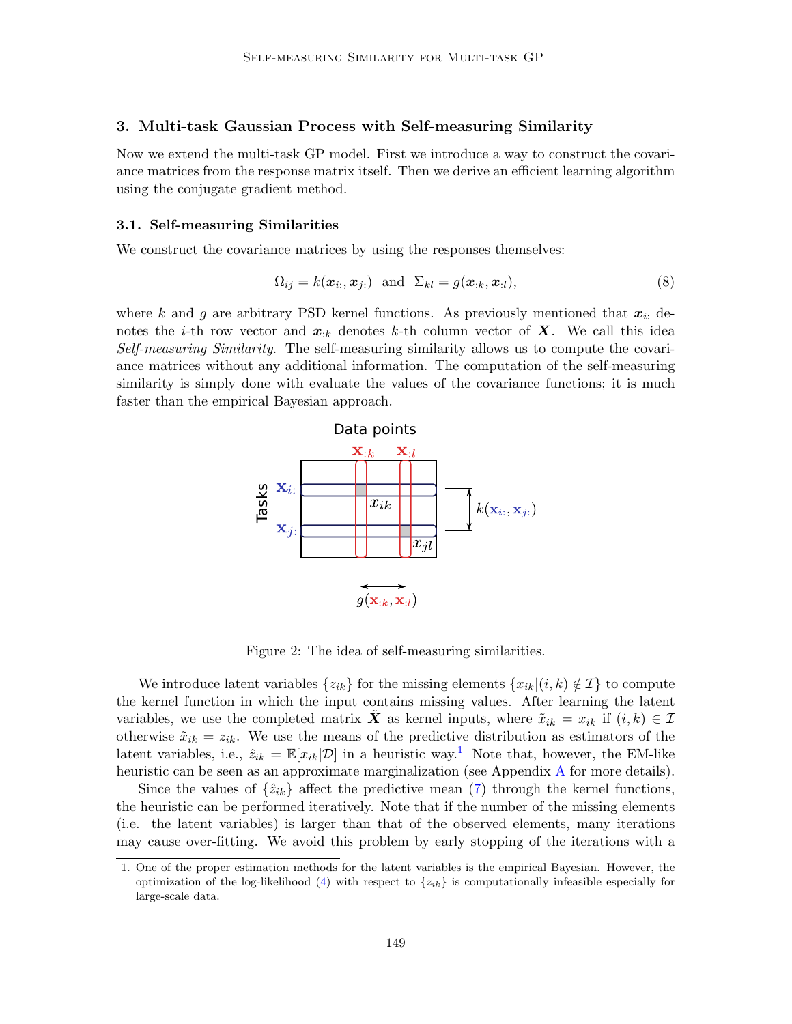## 3. Multi-task Gaussian Process with Self-measuring Similarity

Now we extend the multi-task GP model. First we introduce a way to construct the covariance matrices from the response matrix itself. Then we derive an efficient learning algorithm using the conjugate gradient method.

#### 3.1. Self-measuring Similarities

We construct the covariance matrices by using the responses themselves:

$$
\Omega_{ij} = k(\boldsymbol{x}_i, \boldsymbol{x}_{j:}) \quad \text{and} \quad \Sigma_{kl} = g(\boldsymbol{x}_{:k}, \boldsymbol{x}_{:l}), \tag{8}
$$

where k and g are arbitrary PSD kernel functions. As previously mentioned that  $x_i$ ; denotes the *i*-th row vector and  $x_{:k}$  denotes k-th column vector of X. We call this idea Self-measuring Similarity. The self-measuring similarity allows us to compute the covariance matrices without any additional information. The computation of the self-measuring similarity is simply done with evaluate the values of the covariance functions; it is much faster than the empirical Bayesian approach.



Figure 2: The idea of self-measuring similarities.

We introduce latent variables  $\{z_{ik}\}\$ for the missing elements  $\{x_{ik}|(i,k)\notin\mathcal{I}\}\)$  to compute the kernel function in which the input contains missing values. After learning the latent variables, we use the completed matrix X as kernel inputs, where  $\tilde{x}_{ik} = x_{ik}$  if  $(i, k) \in \mathcal{I}$ otherwise  $\tilde{x}_{ik} = z_{ik}$ . We use the means of the predictive distribution as estimators of the latent variables, i.e.,  $\hat{z}_{ik} = \mathbb{E}[x_{ik}|\mathcal{D}]$  in a heuristic way.<sup>[1](#page-4-0)</sup> Note that, however, the EM-like heuristic can be seen as an approximate marginalization (see [A](#page-9-2)ppendix A for more details).

Since the values of  $\{\hat{z}_{ik}\}\$  affect the predictive mean [\(7\)](#page-3-2) through the kernel functions, the heuristic can be performed iteratively. Note that if the number of the missing elements (i.e. the latent variables) is larger than that of the observed elements, many iterations may cause over-fitting. We avoid this problem by early stopping of the iterations with a

<span id="page-4-0"></span><sup>1.</sup> One of the proper estimation methods for the latent variables is the empirical Bayesian. However, the optimization of the log-likelihood [\(4\)](#page-3-1) with respect to  $\{z_{ik}\}\$ is computationally infeasible especially for large-scale data.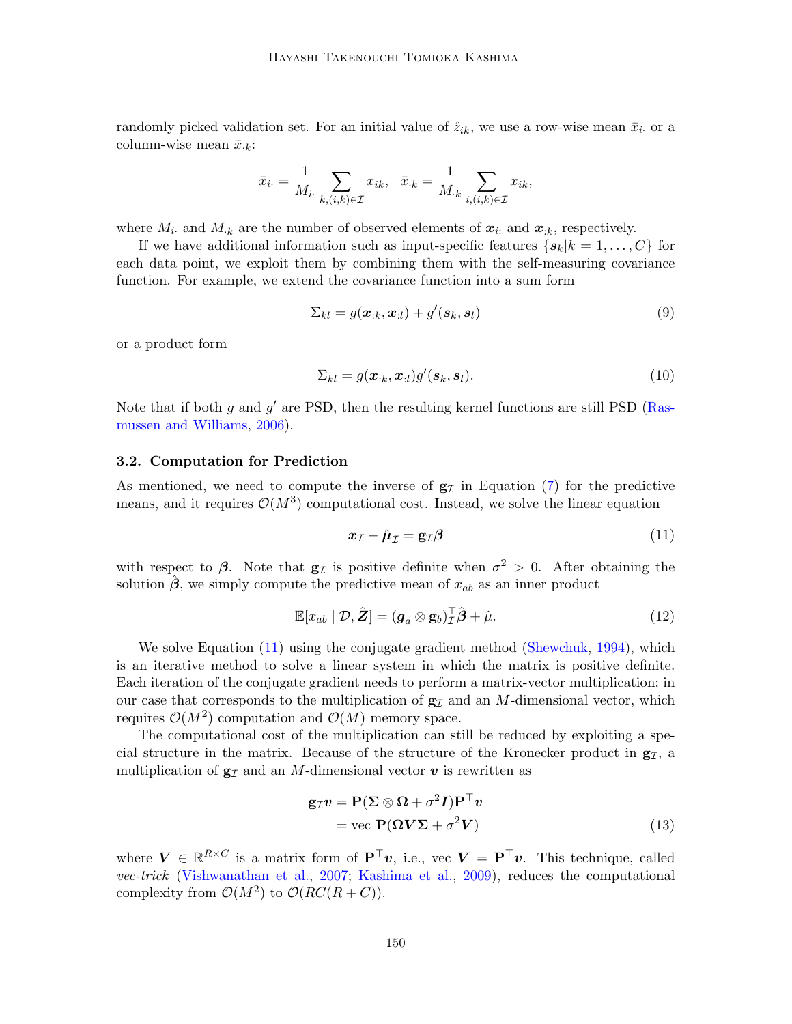randomly picked validation set. For an initial value of  $\hat{z}_{ik}$ , we use a row-wise mean  $\bar{x}_i$  or a column-wise mean  $\bar{x}_{k}$ :

$$
\bar{x}_{i\cdot} = \frac{1}{M_i} \sum_{k,(i,k)\in\mathcal{I}} x_{ik}, \quad \bar{x}_{\cdot k} = \frac{1}{M_{\cdot k}} \sum_{i,(i,k)\in\mathcal{I}} x_{ik},
$$

where  $M_i$  and  $M_k$  are the number of observed elements of  $x_i$  and  $x_{ik}$ , respectively.

If we have additional information such as input-specific features  $\{s_k|k=1,\ldots,C\}$  for each data point, we exploit them by combining them with the self-measuring covariance function. For example, we extend the covariance function into a sum form

$$
\Sigma_{kl} = g(\boldsymbol{x}_{:k}, \boldsymbol{x}_{:l}) + g'(\boldsymbol{s}_{k}, \boldsymbol{s}_{l})
$$
\n(9)

or a product form

<span id="page-5-1"></span>
$$
\Sigma_{kl} = g(\boldsymbol{x}_{:k}, \boldsymbol{x}_{:l})g'(\boldsymbol{s}_{k}, \boldsymbol{s}_{l}).
$$
\n(10)

Note that if both g and  $g'$  are PSD, then the resulting kernel functions are still PSD [\(Ras](#page-8-4)[mussen and Williams,](#page-8-4) [2006\)](#page-8-4).

#### 3.2. Computation for Prediction

As mentioned, we need to compute the inverse of  $g<sub>I</sub>$  in Equation [\(7\)](#page-3-2) for the predictive means, and it requires  $\mathcal{O}(M^3)$  computational cost. Instead, we solve the linear equation

<span id="page-5-0"></span>
$$
x_{\mathcal{I}} - \hat{\mu}_{\mathcal{I}} = g_{\mathcal{I}} \beta \tag{11}
$$

with respect to  $\beta$ . Note that  $g_{\mathcal{I}}$  is positive definite when  $\sigma^2 > 0$ . After obtaining the solution  $\hat{\beta}$ , we simply compute the predictive mean of  $x_{ab}$  as an inner product

$$
\mathbb{E}[x_{ab} | \mathcal{D}, \hat{\mathbf{Z}}] = (\mathbf{g}_a \otimes \mathbf{g}_b) \overline{\overline{f}} \hat{\boldsymbol{\beta}} + \hat{\mu}.
$$
 (12)

We solve Equation [\(11\)](#page-5-0) using the conjugate gradient method [\(Shewchuk,](#page-8-5) [1994\)](#page-8-5), which is an iterative method to solve a linear system in which the matrix is positive definite. Each iteration of the conjugate gradient needs to perform a matrix-vector multiplication; in our case that corresponds to the multiplication of  $g<sub>I</sub>$  and an M-dimensional vector, which requires  $\mathcal{O}(M^2)$  computation and  $\mathcal{O}(M)$  memory space.

The computational cost of the multiplication can still be reduced by exploiting a special structure in the matrix. Because of the structure of the Kronecker product in  $g_{\mathcal{I}}$ , a multiplication of  $g_{\mathcal{I}}$  and an M-dimensional vector v is rewritten as

$$
\mathbf{g}_{\mathcal{I}}\mathbf{v} = \mathbf{P}(\mathbf{\Sigma} \otimes \mathbf{\Omega} + \sigma^2 \mathbf{I})\mathbf{P}^\top \mathbf{v}
$$
  
= vec  $\mathbf{P}(\mathbf{\Omega} \mathbf{V} \mathbf{\Sigma} + \sigma^2 \mathbf{V})$  (13)

where  $V \in \mathbb{R}^{R \times C}$  is a matrix form of  $\mathbf{P}^\top v$ , i.e., vec  $V = \mathbf{P}^\top v$ . This technique, called vec-trick [\(Vishwanathan et al.,](#page-9-3) [2007;](#page-9-3) [Kashima et al.,](#page-8-6) [2009\)](#page-8-6), reduces the computational complexity from  $\mathcal{O}(M^2)$  to  $\mathcal{O}(RC(R+C)).$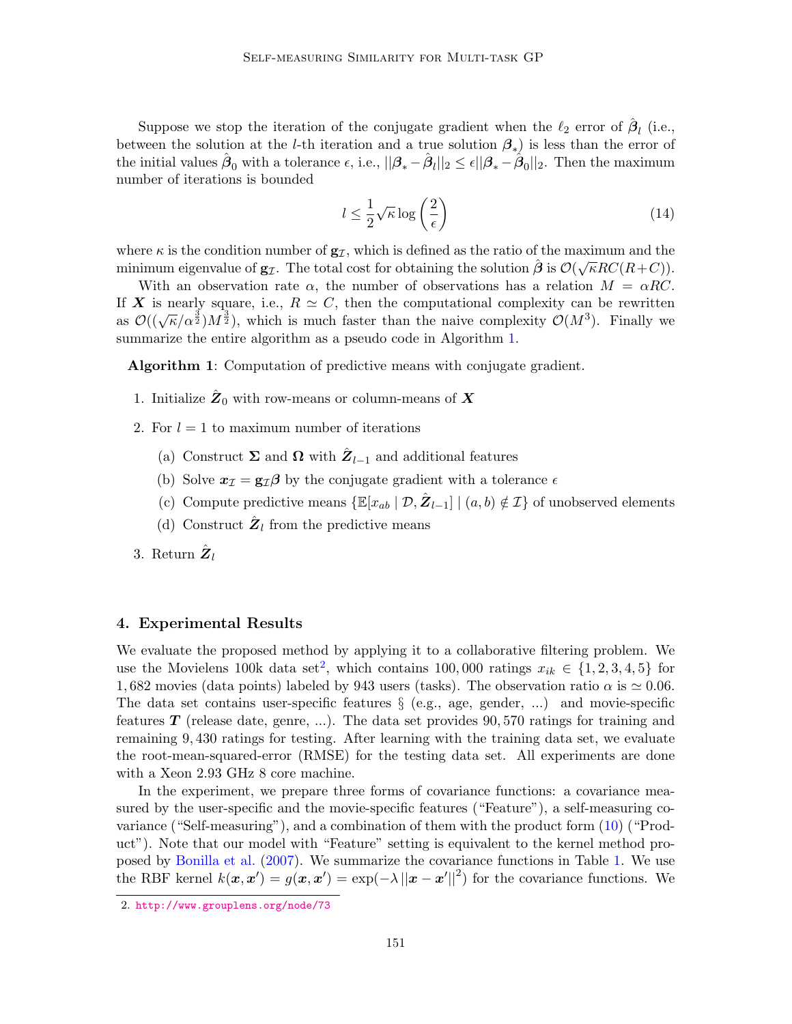Suppose we stop the iteration of the conjugate gradient when the  $\ell_2$  error of  $\hat{\boldsymbol{\beta}}_l$  (i.e., between the solution at the *l*-th iteration and a true solution  $\beta_*$ ) is less than the error of the initial values  $\hat{\beta}_0$  with a tolerance  $\epsilon$ , i.e.,  $||\beta_* - \hat{\beta}_l||_2 \leq \epsilon ||\beta_* - \hat{\beta}_0||_2$ . Then the maximum number of iterations is bounded

$$
l \le \frac{1}{2} \sqrt{\kappa} \log \left(\frac{2}{\epsilon}\right) \tag{14}
$$

where  $\kappa$  is the condition number of  $\mathbf{g}_{\mathcal{I}}$ , which is defined as the ratio of the maximum and the minimum eigenvalue of  $g_{\mathcal{I}}$ . The total cost for obtaining the solution  $\hat{\boldsymbol{\beta}}$  is  $\mathcal{O}(\sqrt{\kappa RC(R+C)})$ .

With an observation rate  $\alpha$ , the number of observations has a relation  $M = \alpha RC$ . If X is nearly square, i.e.,  $R \simeq C$ , then the computational complexity can be rewritten  $\alpha$  is hearly square, i.e.,  $R \cong C$ , then the computational complexity Can be rewritten<br>as  $\mathcal{O}((\sqrt{\kappa}/\alpha^{\frac{3}{2}})M^{\frac{3}{2}})$ , which is much faster than the naive complexity  $\mathcal{O}(M^3)$ . Finally we summarize the entire algorithm as a pseudo code in Algorithm [1.](#page-6-0)

Algorithm 1: Computation of predictive means with conjugate gradient.

- <span id="page-6-0"></span>1. Initialize  $\hat{Z}_0$  with row-means or column-means of  $X$
- 2. For  $l = 1$  to maximum number of iterations
	- (a) Construct  $\Sigma$  and  $\Omega$  with  $\hat{Z}_{l-1}$  and additional features
	- (b) Solve  $x_{\mathcal{I}} = g_{\mathcal{I}} \beta$  by the conjugate gradient with a tolerance  $\epsilon$
	- (c) Compute predictive means  $\{\mathbb{E}[x_{ab} | \mathcal{D}, \hat{Z}_{l-1}] | (a, b) \notin \mathcal{I}\}$  of unobserved elements
	- (d) Construct  $\hat{\mathbf{Z}}_l$  from the predictive means
- 3. Return  $\hat{\pmb{Z}}_l$

#### 4. Experimental Results

We evaluate the proposed method by applying it to a collaborative filtering problem. We use the Movielens 100k data set<sup>[2](#page-6-1)</sup>, which contains 100,000 ratings  $x_{ik} \in \{1, 2, 3, 4, 5\}$  for 1, 682 movies (data points) labeled by 943 users (tasks). The observation ratio  $\alpha$  is  $\simeq 0.06$ . The data set contains user-specific features  $\S$  (e.g., age, gender, ...) and movie-specific features  $\bf{T}$  (release date, genre, ...). The data set provides 90,570 ratings for training and remaining 9, 430 ratings for testing. After learning with the training data set, we evaluate the root-mean-squared-error (RMSE) for the testing data set. All experiments are done with a Xeon 2.93 GHz 8 core machine.

In the experiment, we prepare three forms of covariance functions: a covariance measured by the user-specific and the movie-specific features ("Feature"), a self-measuring covariance ("Self-measuring"), and a combination of them with the product form [\(10\)](#page-5-1) ("Product"). Note that our model with "Feature" setting is equivalent to the kernel method proposed by [Bonilla et al.](#page-8-7) [\(2007\)](#page-8-7). We summarize the covariance functions in Table [1.](#page-7-0) We use the RBF kernel  $k(x, x') = g(x, x') = \exp(-\lambda ||x - x'||^2)$  for the covariance functions. We

<span id="page-6-1"></span><sup>2.</sup> <http://www.grouplens.org/node/73>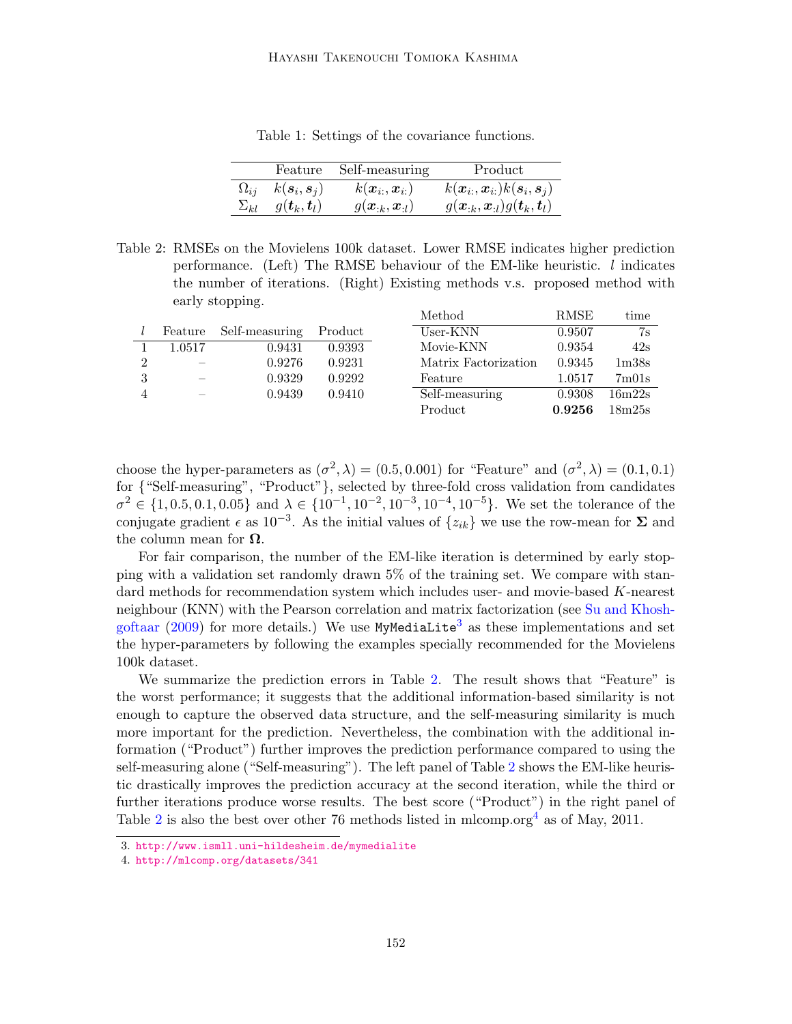|                                                       | Feature Self-measuring                       | Product                                                                              |
|-------------------------------------------------------|----------------------------------------------|--------------------------------------------------------------------------------------|
| $\Omega_{ij}$ $k(\mathbf{s}_i, \mathbf{s}_j)$         | $k(\boldsymbol{x}_{i:},\boldsymbol{x}_{i:})$ | $k(\boldsymbol{x}_{i:},\boldsymbol{x}_{i:})k(\boldsymbol{s}_{i},\boldsymbol{s}_{j})$ |
| $\Sigma_{kl}$ $g(\boldsymbol{t}_k, \boldsymbol{t}_l)$ | $g(\bm{x}_{:k},\bm{x}_{:l})$                 | $g(\boldsymbol{x}_{:k},\boldsymbol{x}_{:l})g(\boldsymbol{t}_{k},\boldsymbol{t}_{l})$ |

<span id="page-7-0"></span>Table 1: Settings of the covariance functions.

<span id="page-7-2"></span>Table 2: RMSEs on the Movielens 100k dataset. Lower RMSE indicates higher prediction performance. (Left) The RMSE behaviour of the EM-like heuristic. l indicates the number of iterations. (Right) Existing methods v.s. proposed method with early stopping. Method RMSE time

|                |                          |                |         | nound                | TUMPI  | <u>umne</u>                    |
|----------------|--------------------------|----------------|---------|----------------------|--------|--------------------------------|
|                | Feature                  | Self-measuring | Product | User-KNN             | 0.9507 | 7s                             |
|                | 1.0517                   | 0.9431         | 0.9393  | Movie-KNN            | 0.9354 | 42s                            |
| $\overline{2}$ | $\overline{\phantom{a}}$ | 0.9276         | 0.9231  | Matrix Factorization | 0.9345 | 1 <sub>m38s</sub>              |
| 3              |                          | 0.9329         | 0.9292  | Feature              | 1.0517 | 7 <sub>m</sub> 01 <sub>s</sub> |
|                |                          | 0.9439         | 0.9410  | Self-measuring       | 0.9308 | 16m22s                         |
|                |                          |                |         | Product              | 0.9256 | 18m25s                         |

choose the hyper-parameters as  $(\sigma^2, \lambda) = (0.5, 0.001)$  for "Feature" and  $(\sigma^2, \lambda) = (0.1, 0.1)$ for {"Self-measuring", "Product"}, selected by three-fold cross validation from candidates  $\sigma^2 \in \{1, 0.5, 0.1, 0.05\}$  and  $\lambda \in \{10^{-1}, 10^{-2}, 10^{-3}, 10^{-4}, 10^{-5}\}$ . We set the tolerance of the conjugate gradient  $\epsilon$  as 10<sup>-3</sup>. As the initial values of  $\{z_{ik}\}\$ we use the row-mean for  $\Sigma$  and the column mean for  $\Omega$ .

For fair comparison, the number of the EM-like iteration is determined by early stopping with a validation set randomly drawn 5% of the training set. We compare with standard methods for recommendation system which includes user- and movie-based K-nearest neighbour (KNN) with the Pearson correlation and matrix factorization (see [Su and Khosh](#page-9-4)[goftaar](#page-9-4) [\(2009\)](#page-9-4) for more details.) We use  $MyMediaLife<sup>3</sup>$  $MyMediaLife<sup>3</sup>$  $MyMediaLife<sup>3</sup>$  as these implementations and set the hyper-parameters by following the examples specially recommended for the Movielens 100k dataset.

We summarize the prediction errors in Table [2.](#page-7-2) The result shows that "Feature" is the worst performance; it suggests that the additional information-based similarity is not enough to capture the observed data structure, and the self-measuring similarity is much more important for the prediction. Nevertheless, the combination with the additional information ("Product") further improves the prediction performance compared to using the self-measuring alone ("Self-measuring"). The left panel of Table [2](#page-7-2) shows the EM-like heuristic drastically improves the prediction accuracy at the second iteration, while the third or further iterations produce worse results. The best score ("Product") in the right panel of Table [2](#page-7-2) is also the best over other 76 methods listed in mlcomp.org<sup>[4](#page-7-3)</sup> as of May, 2011.

<span id="page-7-1"></span><sup>3.</sup> <http://www.ismll.uni-hildesheim.de/mymedialite>

<span id="page-7-3"></span><sup>4.</sup> <http://mlcomp.org/datasets/341>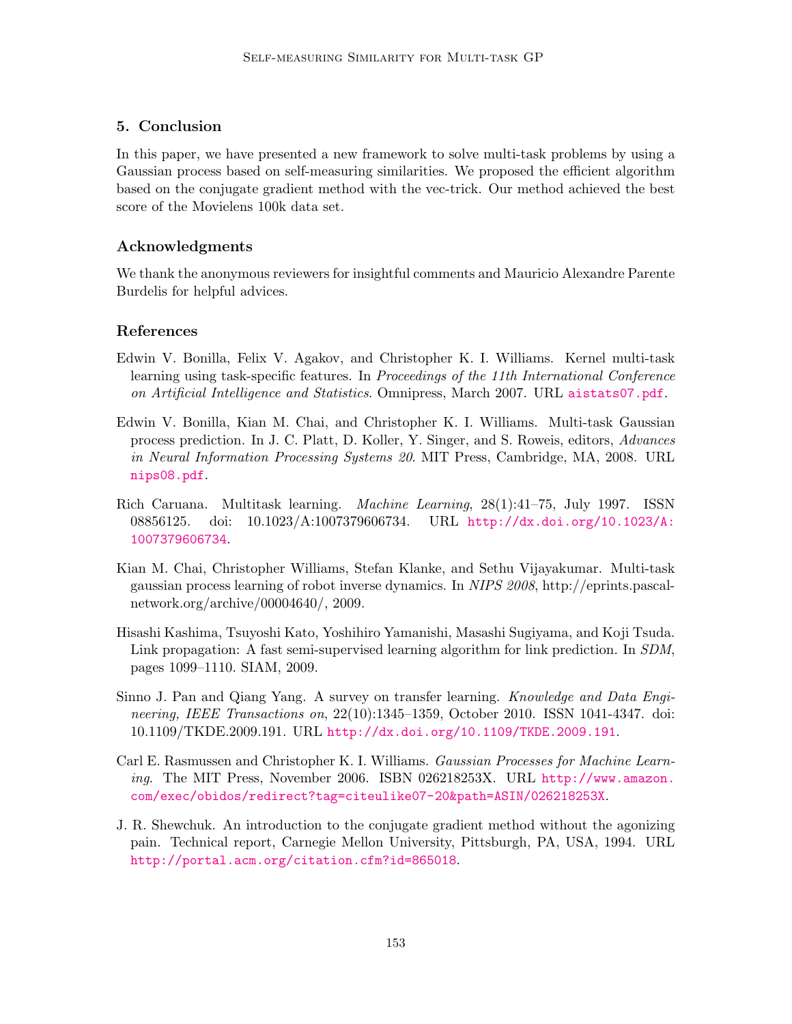## 5. Conclusion

In this paper, we have presented a new framework to solve multi-task problems by using a Gaussian process based on self-measuring similarities. We proposed the efficient algorithm based on the conjugate gradient method with the vec-trick. Our method achieved the best score of the Movielens 100k data set.

## Acknowledgments

We thank the anonymous reviewers for insightful comments and Mauricio Alexandre Parente Burdelis for helpful advices.

### References

- <span id="page-8-7"></span>Edwin V. Bonilla, Felix V. Agakov, and Christopher K. I. Williams. Kernel multi-task learning using task-specific features. In Proceedings of the 11th International Conference on Artificial Intelligence and Statistics. Omnipress, March 2007. URL <aistats07.pdf>.
- <span id="page-8-2"></span>Edwin V. Bonilla, Kian M. Chai, and Christopher K. I. Williams. Multi-task Gaussian process prediction. In J. C. Platt, D. Koller, Y. Singer, and S. Roweis, editors, Advances in Neural Information Processing Systems 20. MIT Press, Cambridge, MA, 2008. URL <nips08.pdf>.
- <span id="page-8-0"></span>Rich Caruana. Multitask learning. Machine Learning, 28(1):41–75, July 1997. ISSN 08856125. doi: 10.1023/A:1007379606734. URL [http://dx.doi.org/10.1023/A:](http://dx.doi.org/10.1023/A:1007379606734) [1007379606734](http://dx.doi.org/10.1023/A:1007379606734).
- <span id="page-8-3"></span>Kian M. Chai, Christopher Williams, Stefan Klanke, and Sethu Vijayakumar. Multi-task gaussian process learning of robot inverse dynamics. In NIPS 2008, http://eprints.pascalnetwork.org/archive/00004640/, 2009.
- <span id="page-8-6"></span>Hisashi Kashima, Tsuyoshi Kato, Yoshihiro Yamanishi, Masashi Sugiyama, and Koji Tsuda. Link propagation: A fast semi-supervised learning algorithm for link prediction. In SDM, pages 1099–1110. SIAM, 2009.
- <span id="page-8-1"></span>Sinno J. Pan and Qiang Yang. A survey on transfer learning. Knowledge and Data Engineering, IEEE Transactions on, 22(10):1345–1359, October 2010. ISSN 1041-4347. doi: 10.1109/TKDE.2009.191. URL <http://dx.doi.org/10.1109/TKDE.2009.191>.
- <span id="page-8-4"></span>Carl E. Rasmussen and Christopher K. I. Williams. Gaussian Processes for Machine Learning. The MIT Press, November 2006. ISBN 026218253X. URL [http://www.amazon.](http://www.amazon.com/exec/obidos/redirect?tag=citeulike07-20&path=ASIN/026218253X) [com/exec/obidos/redirect?tag=citeulike07-20&path=ASIN/026218253X](http://www.amazon.com/exec/obidos/redirect?tag=citeulike07-20&path=ASIN/026218253X).
- <span id="page-8-5"></span>J. R. Shewchuk. An introduction to the conjugate gradient method without the agonizing pain. Technical report, Carnegie Mellon University, Pittsburgh, PA, USA, 1994. URL <http://portal.acm.org/citation.cfm?id=865018>.